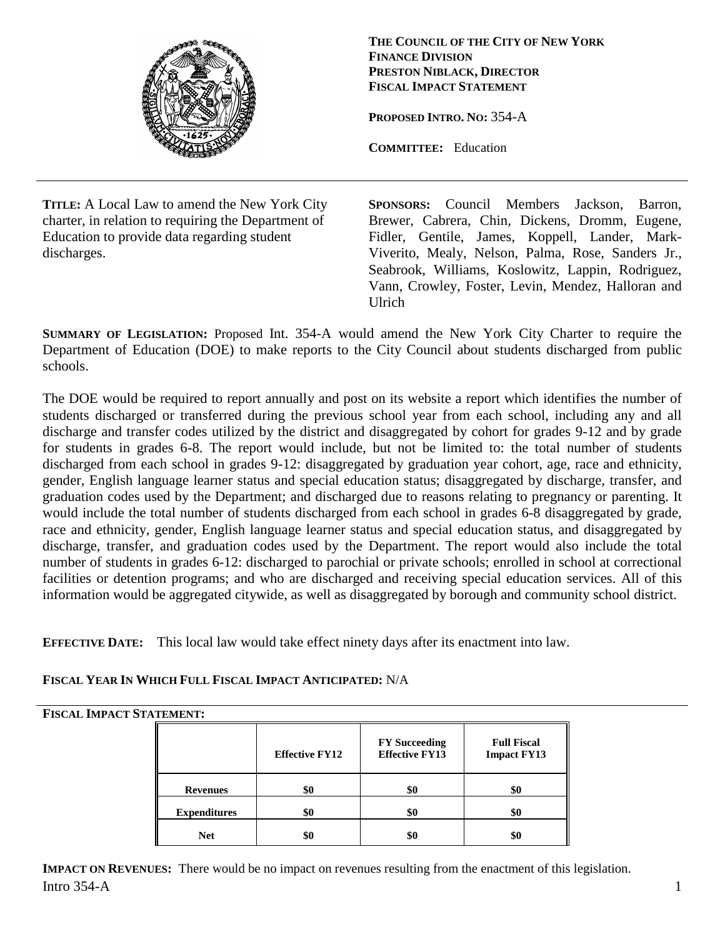

**THE COUNCIL OF THE CITY OF NEW YORK FINANCE DIVISION PRESTON NIBLACK, DIRECTOR FISCAL IMPACT STATEMENT**

**PROPOSED INTRO. NO:** 354-A

**COMMITTEE:** Education

**TITLE:** A Local Law to amend the New York City charter, in relation to requiring the Department of Education to provide data regarding student discharges.

**SPONSORS:** Council Members Jackson, Barron, Brewer, Cabrera, Chin, Dickens, Dromm, Eugene, Fidler, Gentile, James, Koppell, Lander, Mark-Viverito, Mealy, Nelson, Palma, Rose, Sanders Jr., Seabrook, Williams, Koslowitz, Lappin, Rodriguez, Vann, Crowley, Foster, Levin, Mendez, Halloran and Ulrich

**SUMMARY OF LEGISLATION:** Proposed Int. 354-A would amend the New York City Charter to require the Department of Education (DOE) to make reports to the City Council about students discharged from public schools.

The DOE would be required to report annually and post on its website a report which identifies the number of students discharged or transferred during the previous school year from each school, including any and all discharge and transfer codes utilized by the district and disaggregated by cohort for grades 9-12 and by grade for students in grades 6-8. The report would include, but not be limited to: the total number of students discharged from each school in grades 9-12: disaggregated by graduation year cohort, age, race and ethnicity, gender, English language learner status and special education status; disaggregated by discharge, transfer, and graduation codes used by the Department; and discharged due to reasons relating to pregnancy or parenting. It would include the total number of students discharged from each school in grades 6-8 disaggregated by grade, race and ethnicity, gender, English language learner status and special education status, and disaggregated by discharge, transfer, and graduation codes used by the Department. The report would also include the total number of students in grades 6-12: discharged to parochial or private schools; enrolled in school at correctional facilities or detention programs; and who are discharged and receiving special education services. All of this information would be aggregated citywide, as well as disaggregated by borough and community school district.

**EFFECTIVE DATE:** This local law would take effect ninety days after its enactment into law.

## **FISCAL YEAR IN WHICH FULL FISCAL IMPACT ANTICIPATED:** N/A

## **FISCAL IMPACT STATEMENT:**

|                     | <b>Effective FY12</b> | <b>FY Succeeding</b><br><b>Effective FY13</b> | <b>Full Fiscal</b><br><b>Impact FY13</b> |
|---------------------|-----------------------|-----------------------------------------------|------------------------------------------|
| <b>Revenues</b>     | \$0                   | \$0                                           | \$0                                      |
| <b>Expenditures</b> | \$0                   | \$0                                           | \$6                                      |
| <b>Net</b>          | \$0                   | \$0                                           | \$0                                      |

 $\ln$ tro 354-A 1 **IMPACT ON REVENUES:** There would be no impact on revenues resulting from the enactment of this legislation.